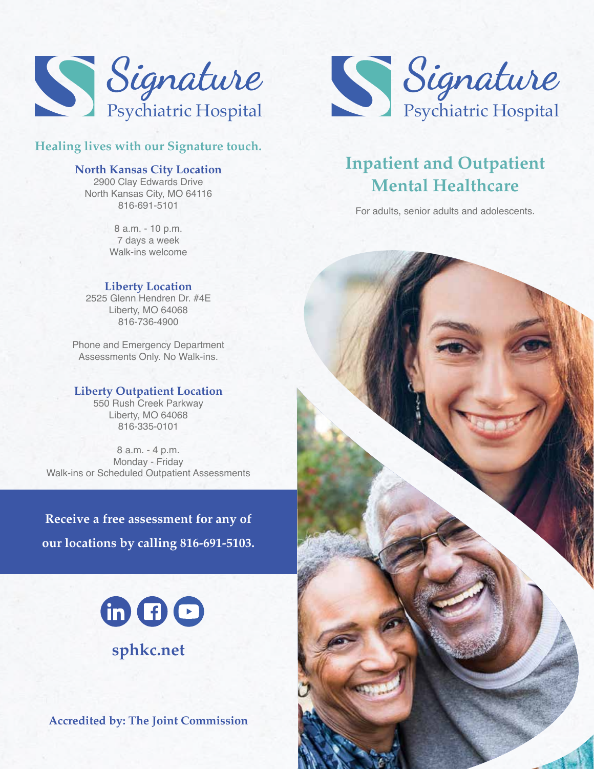

# **Healing lives with our Signature touch.**

## **North Kansas City Location**

2900 Clay Edwards Drive North Kansas City, MO 64116 816-691-5101

> 8 a.m. - 10 p.m. 7 days a week Walk-ins welcome

#### **Liberty Location**

2525 Glenn Hendren Dr. #4E Liberty, MO 64068 816-736-4900

Phone and Emergency Department Assessments Only. No Walk-ins.

# **Liberty Outpatient Location**

550 Rush Creek Parkway Liberty, MO 64068 816-335-0101

8 a.m. - 4 p.m. Monday - Friday Walk-ins or Scheduled Outpatient Assessments

**Receive a free assessment for any of our locations by calling 816-691-5103.**



**Accredited by: The Joint Commission**



# **Inpatient and Outpatient Mental Healthcare**

For adults, senior adults and adolescents.

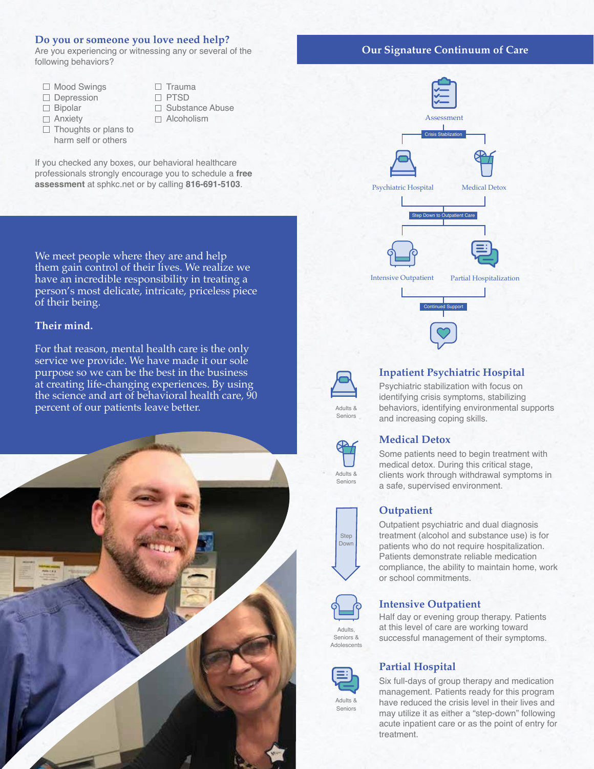#### **Do you or someone you love need help?**

Are you experiencing or witnessing any or several of the following behaviors?

- □ Mood Swings
- Depression
- □ Bipolar
- □ Anxiety
- $\Box$  Thoughts or plans to harm self or others
- $\Box$  Trauma □ PTSD □ Substance Abuse □ Alcoholism

If you checked any boxes, our behavioral healthcare professionals strongly encourage you to schedule a **free assessment** at sphkc.net or by calling **816-691-5103**.

We meet people where they are and help them gain control of their lives. We realize we have an incredible responsibility in treating a person's most delicate, intricate, priceless piece of their being.

#### **Their mind.**

For that reason, mental health care is the only service we provide. We have made it our sole purpose so we can be the best in the business at creating life-changing experiences. By using the science and art of behavioral health care, 90 percent of our patients leave better.



#### **Our Signature Continuum of Care**





#### **Inpatient Psychiatric Hospital**

Psychiatric stabilization with focus on identifying crisis symptoms, stabilizing behaviors, identifying environmental supports and increasing coping skills.



Seniors

## **Medical Detox**

Some patients need to begin treatment with medical detox. During this critical stage, clients work through withdrawal symptoms in a safe, supervised environment.

#### **Outpatient**

Outpatient psychiatric and dual diagnosis treatment (alcohol and substance use) is for patients who do not require hospitalization. Patients demonstrate reliable medication compliance, the ability to maintain home, work or school commitments.



#### **Intensive Outpatient**

Half day or evening group therapy. Patients at this level of care are working toward successful management of their symptoms.

## **Partial Hospital**

Six full-days of group therapy and medication management. Patients ready for this program have reduced the crisis level in their lives and may utilize it as either a "step-down" following acute inpatient care or as the point of entry for treatment.

Adults & Seniors





Adults & Seniors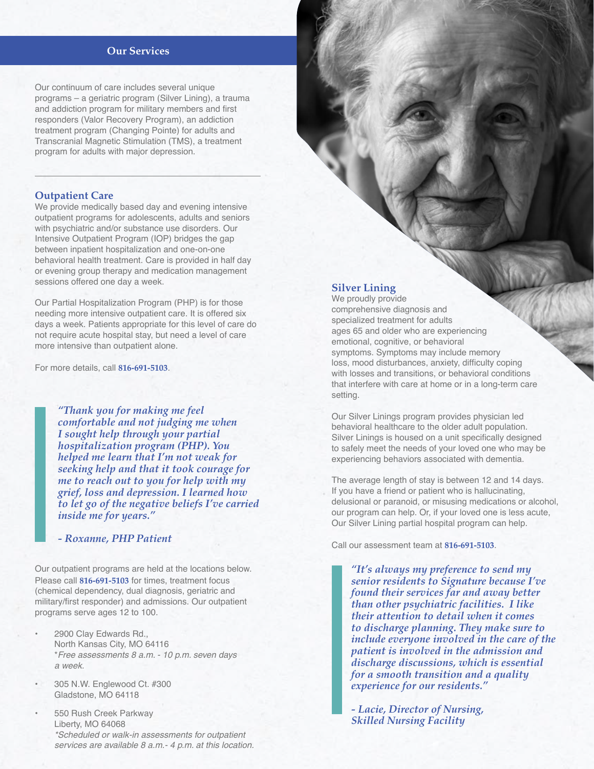#### **Our Services**

Our continuum of care includes several unique programs – a geriatric program (Silver Lining), a trauma and addiction program for military members and first responders (Valor Recovery Program), an addiction treatment program (Changing Pointe) for adults and Transcranial Magnetic Stimulation (TMS), a treatment program for adults with major depression.

#### **Outpatient Care**

We provide medically based day and evening intensive outpatient programs for adolescents, adults and seniors with psychiatric and/or substance use disorders. Our Intensive Outpatient Program (IOP) bridges the gap between inpatient hospitalization and one-on-one behavioral health treatment. Care is provided in half day or evening group therapy and medication management sessions offered one day a week.

Our Partial Hospitalization Program (PHP) is for those needing more intensive outpatient care. It is offered six days a week. Patients appropriate for this level of care do not require acute hospital stay, but need a level of care more intensive than outpatient alone.

For more details, call **816-691-5103**.

*"Thank you for making me feel comfortable and not judging me when I sought help through your partial hospitalization program (PHP). You helped me learn that I'm not weak for seeking help and that it took courage for me to reach out to you for help with my grief, loss and depression. I learned how to let go of the negative beliefs I've carried inside me for years."* 

*- Roxanne, PHP Patient*

Our outpatient programs are held at the locations below. Please call **816-691-5103** for times, treatment focus (chemical dependency, dual diagnosis, geriatric and military/first responder) and admissions. Our outpatient programs serve ages 12 to 100.

- 2900 Clay Edwards Rd., North Kansas City, MO 64116 \**Free assessments 8 a.m. - 10 p.m. seven days a week.*
- 305 N.W. Englewood Ct. #300 Gladstone, MO 64118
- 550 Rush Creek Parkway Liberty, MO 64068 *\*Scheduled or walk-in assessments for outpatient services are available 8 a.m.- 4 p.m. at this location.*

### **Silver Lining**

We proudly provide comprehensive diagnosis and specialized treatment for adults ages 65 and older who are experiencing emotional, cognitive, or behavioral symptoms. Symptoms may include memory loss, mood disturbances, anxiety, difficulty coping with losses and transitions, or behavioral conditions that interfere with care at home or in a long-term care setting.

Our Silver Linings program provides physician led behavioral healthcare to the older adult population. Silver Linings is housed on a unit specifically designed to safely meet the needs of your loved one who may be experiencing behaviors associated with dementia.

The average length of stay is between 12 and 14 days. If you have a friend or patient who is hallucinating, delusional or paranoid, or misusing medications or alcohol, our program can help. Or, if your loved one is less acute, Our Silver Lining partial hospital program can help.

Call our assessment team at **816-691-5103**.

*"It's always my preference to send my senior residents to Signature because I've found their services far and away better than other psychiatric facilities. I like their attention to detail when it comes to discharge planning. They make sure to include everyone involved in the care of the patient is involved in the admission and discharge discussions, which is essential for a smooth transition and a quality experience for our residents."* 

*- Lacie, Director of Nursing, Skilled Nursing Facility*